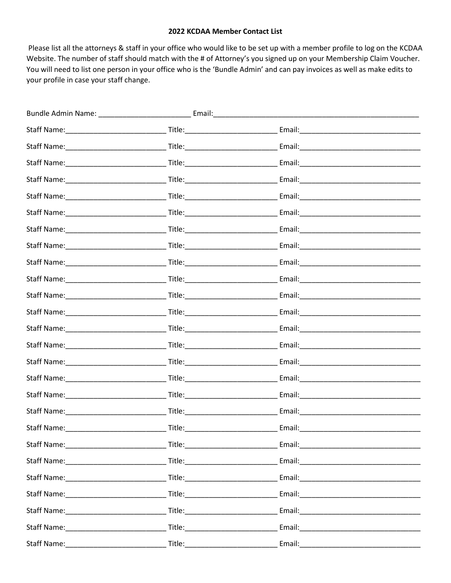## 2022 KCDAA Member Contact List

Please list all the attorneys & staff in your office who would like to be set up with a member profile to log on the KCDAA Website. The number of staff should match with the # of Attorney's you signed up on your Membership Claim Voucher. You will need to list one person in your office who is the 'Bundle Admin' and can pay invoices as well as make edits to your profile in case your staff change.

|  | Email: 2008. 2009. 2010. 2010. 2010. 2010. 2010. 2010. 2010. 2010. 2011. 2012. 2014. 2016. 2017. 2017. 2017. 20 |  |
|--|-----------------------------------------------------------------------------------------------------------------|--|
|  | Email: 2008 2009 2010 2021 2022 2023 2024 2022 2022 2023 2024 2022 2023 2024 2022 2023 2024 2022 2023 2024 20   |  |
|  |                                                                                                                 |  |